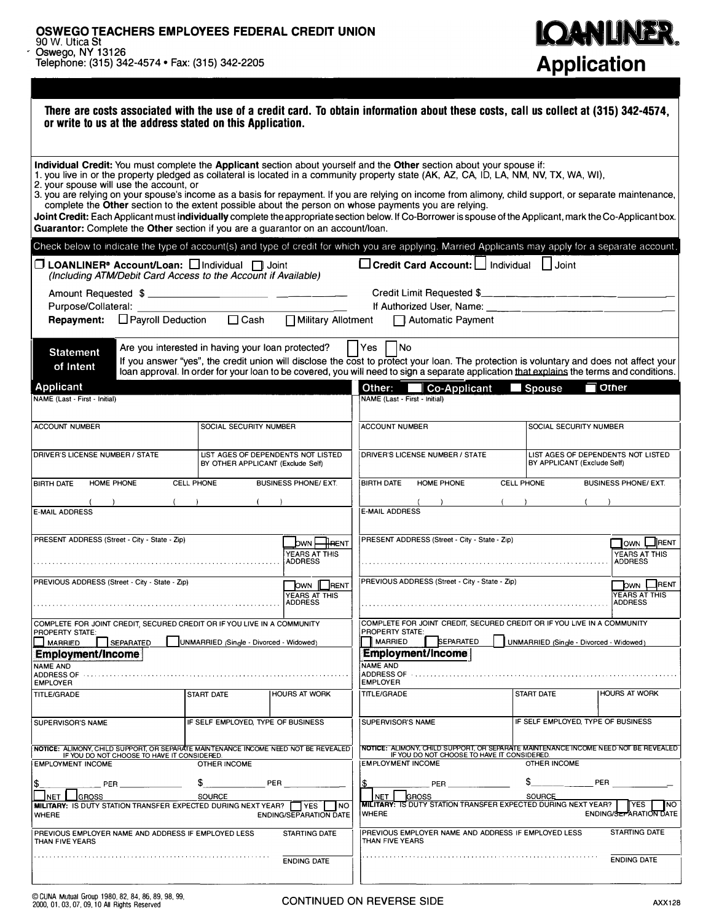| <b>IQANLINER.</b>  |
|--------------------|
| <b>Application</b> |

| There are costs associated with the use of a credit card. To obtain information about these costs, call us collect at (315) 342-4574,<br>or write to us at the address stated on this Application.                                                                                                                                                                                                                                                                                                                                                                                                                                                                                                                                                                                                                                  |                                         |                                                   |                                                                                |                                                         |                                                                         |                                                                                                                                                                                                                                                                                      |  |  |  |
|-------------------------------------------------------------------------------------------------------------------------------------------------------------------------------------------------------------------------------------------------------------------------------------------------------------------------------------------------------------------------------------------------------------------------------------------------------------------------------------------------------------------------------------------------------------------------------------------------------------------------------------------------------------------------------------------------------------------------------------------------------------------------------------------------------------------------------------|-----------------------------------------|---------------------------------------------------|--------------------------------------------------------------------------------|---------------------------------------------------------|-------------------------------------------------------------------------|--------------------------------------------------------------------------------------------------------------------------------------------------------------------------------------------------------------------------------------------------------------------------------------|--|--|--|
| Individual Credit: You must complete the Applicant section about yourself and the Other section about your spouse if:<br>1. you live in or the property pledged as collateral is located in a community property state (AK, AZ, CA, ID, LA, NM, NV, TX, WA, WI),<br>2. your spouse will use the account, or<br>3. you are relying on your spouse's income as a basis for repayment. If you are relying on income from alimony, child support, or separate maintenance,<br>complete the Other section to the extent possible about the person on whose payments you are relying.<br>Joint Credit: Each Applicant must individually complete the appropriate section below. If Co-Borrower is spouse of the Applicant, mark the Co-Applicant box.<br>Guarantor: Complete the Other section if you are a guarantor on an account/loan. |                                         |                                                   |                                                                                |                                                         |                                                                         |                                                                                                                                                                                                                                                                                      |  |  |  |
| Check below to indicate the type of account(s) and type of credit for which you are applying. Married Applicants may apply for a separate account.                                                                                                                                                                                                                                                                                                                                                                                                                                                                                                                                                                                                                                                                                  |                                         |                                                   |                                                                                |                                                         |                                                                         |                                                                                                                                                                                                                                                                                      |  |  |  |
| □ Credit Card Account: I Individual<br>□ LOANLINER <sup>®</sup> Account/Loan: □ Individual □ Joint<br>$\lfloor \rfloor$ Joint<br>(Including ATM/Debit Card Access to the Account if Available)                                                                                                                                                                                                                                                                                                                                                                                                                                                                                                                                                                                                                                      |                                         |                                                   |                                                                                |                                                         |                                                                         |                                                                                                                                                                                                                                                                                      |  |  |  |
|                                                                                                                                                                                                                                                                                                                                                                                                                                                                                                                                                                                                                                                                                                                                                                                                                                     |                                         |                                                   |                                                                                |                                                         | Credit Limit Requested \$                                               |                                                                                                                                                                                                                                                                                      |  |  |  |
| Purpose/Collateral: _____________                                                                                                                                                                                                                                                                                                                                                                                                                                                                                                                                                                                                                                                                                                                                                                                                   |                                         |                                                   |                                                                                |                                                         |                                                                         |                                                                                                                                                                                                                                                                                      |  |  |  |
| <b>Repayment:</b> $\Box$ Payroll Deduction                                                                                                                                                                                                                                                                                                                                                                                                                                                                                                                                                                                                                                                                                                                                                                                          | $\Box$ Cash                             | Military Allotment                                |                                                                                | Automatic Payment                                       |                                                                         |                                                                                                                                                                                                                                                                                      |  |  |  |
| Are you interested in having your loan protected?<br><b>Statement</b><br>of Intent                                                                                                                                                                                                                                                                                                                                                                                                                                                                                                                                                                                                                                                                                                                                                  |                                         |                                                   | Yes<br><b>No</b>                                                               |                                                         |                                                                         | If you answer "yes", the credit union will disclose the cost to protect your loan. The protection is voluntary and does not affect your<br>loan approval. In order for your loan to be covered, you will need to sign a separate application that explains the terms and conditions. |  |  |  |
| Applicant                                                                                                                                                                                                                                                                                                                                                                                                                                                                                                                                                                                                                                                                                                                                                                                                                           |                                         |                                                   | Other:                                                                         | <b>Co-Applicant</b>                                     | Spouse                                                                  | <b>Other</b>                                                                                                                                                                                                                                                                         |  |  |  |
| NAME (Last - First - Initial)                                                                                                                                                                                                                                                                                                                                                                                                                                                                                                                                                                                                                                                                                                                                                                                                       |                                         |                                                   | NAME (Last - First - Initial)                                                  |                                                         |                                                                         |                                                                                                                                                                                                                                                                                      |  |  |  |
| <b>ACCOUNT NUMBER</b>                                                                                                                                                                                                                                                                                                                                                                                                                                                                                                                                                                                                                                                                                                                                                                                                               | SOCIAL SECURITY NUMBER                  |                                                   |                                                                                | <b>ACCOUNT NUMBER</b>                                   |                                                                         | SOCIAL SECURITY NUMBER                                                                                                                                                                                                                                                               |  |  |  |
| <b>DRIVER'S LICENSE NUMBER / STATE</b>                                                                                                                                                                                                                                                                                                                                                                                                                                                                                                                                                                                                                                                                                                                                                                                              | BY OTHER APPLICANT (Exclude Self)       | LIST AGES OF DEPENDENTS NOT LISTED                | DRIVER'S LICENSE NUMBER / STATE                                                |                                                         |                                                                         | LIST AGES OF DEPENDENTS NOT LISTED<br>BY APPLICANT (Exclude Self)                                                                                                                                                                                                                    |  |  |  |
| BIRTH DATE<br><b>HOME PHONE</b><br><b>CELL PHONE</b>                                                                                                                                                                                                                                                                                                                                                                                                                                                                                                                                                                                                                                                                                                                                                                                |                                         | <b>BUSINESS PHONE/ EXT.</b>                       | <b>BIRTH DATE</b>                                                              | HOME PHONE                                              | <b>CELL PHONE</b>                                                       | <b>BUSINESS PHONE/ EXT.</b>                                                                                                                                                                                                                                                          |  |  |  |
|                                                                                                                                                                                                                                                                                                                                                                                                                                                                                                                                                                                                                                                                                                                                                                                                                                     |                                         |                                                   |                                                                                |                                                         |                                                                         |                                                                                                                                                                                                                                                                                      |  |  |  |
| E-MAIL ADDRESS                                                                                                                                                                                                                                                                                                                                                                                                                                                                                                                                                                                                                                                                                                                                                                                                                      |                                         |                                                   | <b>E-MAIL ADDRESS</b>                                                          |                                                         |                                                                         |                                                                                                                                                                                                                                                                                      |  |  |  |
| PRESENT ADDRESS (Street - City - State - Zip)<br>—∥есмт<br><b>bwn</b>                                                                                                                                                                                                                                                                                                                                                                                                                                                                                                                                                                                                                                                                                                                                                               |                                         |                                                   | PRESENT ADDRESS (Street - City - State - Zip)                                  |                                                         | $\overline{\phantom{a}}$ lown<br>RENT                                   |                                                                                                                                                                                                                                                                                      |  |  |  |
| YEARS AT THIS<br><b>ADDRESS</b>                                                                                                                                                                                                                                                                                                                                                                                                                                                                                                                                                                                                                                                                                                                                                                                                     |                                         |                                                   |                                                                                | YEARS AT THIS<br><b>ADDRESS</b>                         |                                                                         |                                                                                                                                                                                                                                                                                      |  |  |  |
| PREVIOUS ADDRESS (Street - City - State - Zip)<br>OWN   RENT                                                                                                                                                                                                                                                                                                                                                                                                                                                                                                                                                                                                                                                                                                                                                                        |                                         |                                                   | PREVIOUS ADDRESS (Street - City - State - Zip)<br><b>DWN</b>                   |                                                         |                                                                         |                                                                                                                                                                                                                                                                                      |  |  |  |
| YEARS AT THIS<br><b>ADDRESS</b>                                                                                                                                                                                                                                                                                                                                                                                                                                                                                                                                                                                                                                                                                                                                                                                                     |                                         |                                                   | <b>J</b> RENT<br><b>YEARS AT THIS</b><br><b>ADDRESS</b>                        |                                                         |                                                                         |                                                                                                                                                                                                                                                                                      |  |  |  |
| COMPLETE FOR JOINT CREDIT, SECURED CREDIT OR IF YOU LIVE IN A COMMUNITY<br><b>PROPERTY STATE:</b>                                                                                                                                                                                                                                                                                                                                                                                                                                                                                                                                                                                                                                                                                                                                   |                                         |                                                   | <b>PROPERTY STATE:</b>                                                         |                                                         | COMPLETE FOR JOINT CREDIT, SECURED CREDIT OR IF YOU LIVE IN A COMMUNITY |                                                                                                                                                                                                                                                                                      |  |  |  |
| <b>MARRIED</b><br>SEPARATED                                                                                                                                                                                                                                                                                                                                                                                                                                                                                                                                                                                                                                                                                                                                                                                                         | UNMARRIED (Single - Divorced - Widowed) |                                                   | <b>MARRIED</b>                                                                 | SEPARATED                                               | UNMARRIED (Single - Divorced - Widowed)                                 |                                                                                                                                                                                                                                                                                      |  |  |  |
| <b>Employment/Income</b><br><b>NAME AND</b>                                                                                                                                                                                                                                                                                                                                                                                                                                                                                                                                                                                                                                                                                                                                                                                         |                                         |                                                   | <b>Employment/Income</b><br><b>NAME AND</b>                                    |                                                         |                                                                         |                                                                                                                                                                                                                                                                                      |  |  |  |
| ADDRESS OF                                                                                                                                                                                                                                                                                                                                                                                                                                                                                                                                                                                                                                                                                                                                                                                                                          |                                         |                                                   | <b>ADDRESS OF</b>                                                              |                                                         |                                                                         |                                                                                                                                                                                                                                                                                      |  |  |  |
| <b>EMPLOYER</b><br><b>TITLE/GRADE</b>                                                                                                                                                                                                                                                                                                                                                                                                                                                                                                                                                                                                                                                                                                                                                                                               | START DATE                              | <b>HOURS AT WORK</b>                              | <b>EMPLOYER</b><br><b>TITLE/GRADE</b>                                          |                                                         | <b>START DATE</b>                                                       | <b>HOURS AT WORK</b>                                                                                                                                                                                                                                                                 |  |  |  |
| <b>ISUPERVISOR'S NAME</b>                                                                                                                                                                                                                                                                                                                                                                                                                                                                                                                                                                                                                                                                                                                                                                                                           | IF SELF EMPLOYED, TYPE OF BUSINESS      |                                                   |                                                                                | IF SELF EMPLOYED, TYPE OF BUSINESS<br>SUPERVISOR'S NAME |                                                                         |                                                                                                                                                                                                                                                                                      |  |  |  |
| NOTICE: ALIMONY, CHILD SUPPORT, OR SEPARATE MAINTENANCE INCOME NEED NOT BE REVEALED                                                                                                                                                                                                                                                                                                                                                                                                                                                                                                                                                                                                                                                                                                                                                 |                                         |                                                   |                                                                                |                                                         |                                                                         | NOTICE: ALIMONY, CHILD SUPPORT, OR SEPARATE MAINTENANCE INCOME NEED NOT BE REVEALED IF YOU DO NOT CHOOSE TO HAVE IT CONSIDERED.                                                                                                                                                      |  |  |  |
| IF YOU DO NOT CHOOSE TO HAVE IT CONSIDERED.<br><b>EMPLOYMENT INCOME</b>                                                                                                                                                                                                                                                                                                                                                                                                                                                                                                                                                                                                                                                                                                                                                             | <b>OTHER INCOME</b>                     |                                                   | <b>EMPLOYMENT INCOME</b>                                                       |                                                         | OTHER INCOME                                                            |                                                                                                                                                                                                                                                                                      |  |  |  |
| \$<br>PER                                                                                                                                                                                                                                                                                                                                                                                                                                                                                                                                                                                                                                                                                                                                                                                                                           | S                                       | PER                                               | 1\$                                                                            | PER                                                     | \$                                                                      | PER                                                                                                                                                                                                                                                                                  |  |  |  |
| <b>GROSS</b><br><b>MILITARY: IS DUTY STATION TRANSFER EXPECTED DURING NEXT YEAR?</b>                                                                                                                                                                                                                                                                                                                                                                                                                                                                                                                                                                                                                                                                                                                                                | <b>GROSS</b><br>NET                     |                                                   | <b>SOURCE</b><br>MILITARY: IS DUTY STATION TRANSFER EXPECTED DURING NEXT YEAR? | YES<br><b>NO</b>                                        |                                                                         |                                                                                                                                                                                                                                                                                      |  |  |  |
| <b>WHERE</b>                                                                                                                                                                                                                                                                                                                                                                                                                                                                                                                                                                                                                                                                                                                                                                                                                        |                                         | YES<br><b>NO</b><br><b>ENDING/SEPARATION DATE</b> | <b>WHERE</b>                                                                   |                                                         |                                                                         | <b>ENDING/SEPARATION DATE</b>                                                                                                                                                                                                                                                        |  |  |  |
| PREVIOUS EMPLOYER NAME AND ADDRESS IF EMPLOYED LESS<br>THAN FIVE YEARS                                                                                                                                                                                                                                                                                                                                                                                                                                                                                                                                                                                                                                                                                                                                                              |                                         | <b>STARTING DATE</b>                              | THAN FIVE YEARS                                                                |                                                         | PREVIOUS EMPLOYER NAME AND ADDRESS IF EMPLOYED LESS                     | <b>STARTING DATE</b>                                                                                                                                                                                                                                                                 |  |  |  |
|                                                                                                                                                                                                                                                                                                                                                                                                                                                                                                                                                                                                                                                                                                                                                                                                                                     |                                         | <b>ENDING DATE</b>                                |                                                                                |                                                         |                                                                         | <b>ENDING DATE</b>                                                                                                                                                                                                                                                                   |  |  |  |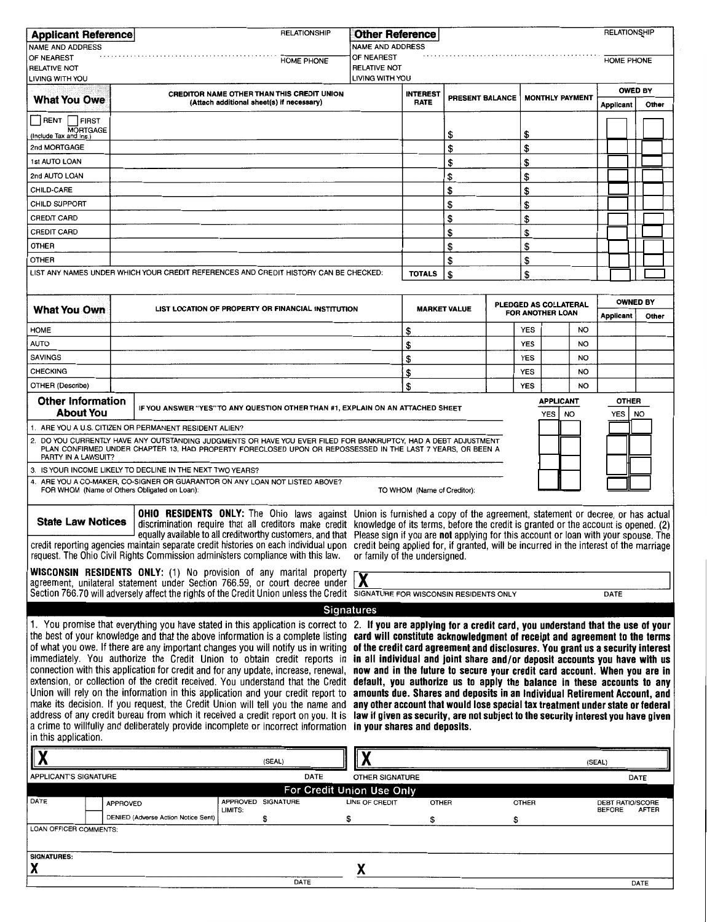| <b>RELATIONSHIP</b><br><b>Applicant Reference</b>                                                                                                                                                                                                                                                                                                                                                                                                                                                                                                                                                                                                     |                                                                                                                                                                                                                                                                                                                                                                                                                                                   |                                                                                                                                                                                                                                                                                                                                                                         | RELATIONSHIP<br><b>Other Reference</b> |                 |                                                                                |              |                                           |                  |                                          |                          |  |
|-------------------------------------------------------------------------------------------------------------------------------------------------------------------------------------------------------------------------------------------------------------------------------------------------------------------------------------------------------------------------------------------------------------------------------------------------------------------------------------------------------------------------------------------------------------------------------------------------------------------------------------------------------|---------------------------------------------------------------------------------------------------------------------------------------------------------------------------------------------------------------------------------------------------------------------------------------------------------------------------------------------------------------------------------------------------------------------------------------------------|-------------------------------------------------------------------------------------------------------------------------------------------------------------------------------------------------------------------------------------------------------------------------------------------------------------------------------------------------------------------------|----------------------------------------|-----------------|--------------------------------------------------------------------------------|--------------|-------------------------------------------|------------------|------------------------------------------|--------------------------|--|
| <b>NAME AND ADDRESS</b>                                                                                                                                                                                                                                                                                                                                                                                                                                                                                                                                                                                                                               |                                                                                                                                                                                                                                                                                                                                                                                                                                                   |                                                                                                                                                                                                                                                                                                                                                                         | <b>NAME AND ADDRESS</b>                |                 |                                                                                |              |                                           |                  |                                          |                          |  |
| OF NEAREST<br><b>RELATIVE NOT</b><br>LIVING WITH YOU                                                                                                                                                                                                                                                                                                                                                                                                                                                                                                                                                                                                  |                                                                                                                                                                                                                                                                                                                                                                                                                                                   | <b>HOME PHONE</b>                                                                                                                                                                                                                                                                                                                                                       | OF NEAREST<br><b>RELATIVE NOT</b>      |                 |                                                                                |              |                                           |                  | <b>HOME PHONE</b>                        |                          |  |
|                                                                                                                                                                                                                                                                                                                                                                                                                                                                                                                                                                                                                                                       |                                                                                                                                                                                                                                                                                                                                                                                                                                                   |                                                                                                                                                                                                                                                                                                                                                                         | LIVING WITH YOU                        | <b>INTEREST</b> |                                                                                |              |                                           |                  | <b>OWED BY</b>                           |                          |  |
| <b>What You Owe</b>                                                                                                                                                                                                                                                                                                                                                                                                                                                                                                                                                                                                                                   | <b>CREDITOR NAME OTHER THAN THIS CREDIT UNION</b><br>(Attach additional sheet(s) if necessary)                                                                                                                                                                                                                                                                                                                                                    |                                                                                                                                                                                                                                                                                                                                                                         |                                        | <b>RATE</b>     | PRESENT BALANCE                                                                |              | <b>MONTHLY PAYMENT</b>                    |                  | Other<br><b>Applicant</b>                |                          |  |
| RENT<br>FIRST<br><b>MORTGAGE</b>                                                                                                                                                                                                                                                                                                                                                                                                                                                                                                                                                                                                                      |                                                                                                                                                                                                                                                                                                                                                                                                                                                   |                                                                                                                                                                                                                                                                                                                                                                         |                                        |                 | \$                                                                             |              | \$                                        |                  |                                          |                          |  |
| (Include Tax and Ins.)<br>2nd MORTGAGE                                                                                                                                                                                                                                                                                                                                                                                                                                                                                                                                                                                                                |                                                                                                                                                                                                                                                                                                                                                                                                                                                   |                                                                                                                                                                                                                                                                                                                                                                         |                                        |                 | \$                                                                             |              |                                           |                  |                                          |                          |  |
| <b>1st AUTO LOAN</b>                                                                                                                                                                                                                                                                                                                                                                                                                                                                                                                                                                                                                                  |                                                                                                                                                                                                                                                                                                                                                                                                                                                   |                                                                                                                                                                                                                                                                                                                                                                         |                                        |                 |                                                                                |              | \$                                        |                  |                                          |                          |  |
|                                                                                                                                                                                                                                                                                                                                                                                                                                                                                                                                                                                                                                                       |                                                                                                                                                                                                                                                                                                                                                                                                                                                   |                                                                                                                                                                                                                                                                                                                                                                         |                                        |                 | \$                                                                             |              | \$                                        |                  |                                          |                          |  |
| 2nd AUTO LOAN                                                                                                                                                                                                                                                                                                                                                                                                                                                                                                                                                                                                                                         |                                                                                                                                                                                                                                                                                                                                                                                                                                                   |                                                                                                                                                                                                                                                                                                                                                                         |                                        |                 | \$                                                                             |              | \$                                        |                  |                                          |                          |  |
| CHILD-CARE                                                                                                                                                                                                                                                                                                                                                                                                                                                                                                                                                                                                                                            |                                                                                                                                                                                                                                                                                                                                                                                                                                                   |                                                                                                                                                                                                                                                                                                                                                                         |                                        |                 | \$                                                                             |              | \$                                        |                  |                                          |                          |  |
| <b>CHILD SUPPORT</b>                                                                                                                                                                                                                                                                                                                                                                                                                                                                                                                                                                                                                                  |                                                                                                                                                                                                                                                                                                                                                                                                                                                   |                                                                                                                                                                                                                                                                                                                                                                         |                                        |                 | \$                                                                             |              | \$                                        |                  |                                          |                          |  |
| <b>CREDIT CARD</b>                                                                                                                                                                                                                                                                                                                                                                                                                                                                                                                                                                                                                                    |                                                                                                                                                                                                                                                                                                                                                                                                                                                   |                                                                                                                                                                                                                                                                                                                                                                         |                                        |                 | \$                                                                             |              | \$                                        |                  |                                          |                          |  |
| <b>CREDIT CARD</b>                                                                                                                                                                                                                                                                                                                                                                                                                                                                                                                                                                                                                                    |                                                                                                                                                                                                                                                                                                                                                                                                                                                   |                                                                                                                                                                                                                                                                                                                                                                         |                                        |                 | \$                                                                             |              | \$                                        |                  |                                          |                          |  |
| <b>OTHER</b>                                                                                                                                                                                                                                                                                                                                                                                                                                                                                                                                                                                                                                          |                                                                                                                                                                                                                                                                                                                                                                                                                                                   |                                                                                                                                                                                                                                                                                                                                                                         |                                        |                 | \$                                                                             |              | \$                                        |                  |                                          |                          |  |
| <b>OTHER</b>                                                                                                                                                                                                                                                                                                                                                                                                                                                                                                                                                                                                                                          |                                                                                                                                                                                                                                                                                                                                                                                                                                                   |                                                                                                                                                                                                                                                                                                                                                                         |                                        |                 | \$                                                                             |              | \$                                        |                  |                                          |                          |  |
|                                                                                                                                                                                                                                                                                                                                                                                                                                                                                                                                                                                                                                                       |                                                                                                                                                                                                                                                                                                                                                                                                                                                   | LIST ANY NAMES UNDER WHICH YOUR CREDIT REFERENCES AND CREDIT HISTORY CAN BE CHECKED:                                                                                                                                                                                                                                                                                    |                                        | <b>TOTALS</b>   | \$                                                                             |              | \$                                        |                  |                                          |                          |  |
|                                                                                                                                                                                                                                                                                                                                                                                                                                                                                                                                                                                                                                                       |                                                                                                                                                                                                                                                                                                                                                                                                                                                   |                                                                                                                                                                                                                                                                                                                                                                         |                                        |                 |                                                                                |              |                                           |                  |                                          |                          |  |
| <b>What You Own</b>                                                                                                                                                                                                                                                                                                                                                                                                                                                                                                                                                                                                                                   |                                                                                                                                                                                                                                                                                                                                                                                                                                                   | LIST LOCATION OF PROPERTY OR FINANCIAL INSTITUTION                                                                                                                                                                                                                                                                                                                      |                                        |                 | <b>MARKET VALUE</b>                                                            |              | PLEDGED AS COLLATERAL<br>FOR ANOTHER LOAN |                  | <b>Applicant</b>                         | <b>OWNED BY</b><br>Other |  |
| <b>HOME</b>                                                                                                                                                                                                                                                                                                                                                                                                                                                                                                                                                                                                                                           |                                                                                                                                                                                                                                                                                                                                                                                                                                                   |                                                                                                                                                                                                                                                                                                                                                                         |                                        | \$              |                                                                                |              | <b>YES</b>                                | <b>NO</b>        |                                          |                          |  |
| <b>AUTO</b>                                                                                                                                                                                                                                                                                                                                                                                                                                                                                                                                                                                                                                           |                                                                                                                                                                                                                                                                                                                                                                                                                                                   |                                                                                                                                                                                                                                                                                                                                                                         |                                        | \$              |                                                                                |              | <b>YES</b>                                | <b>NO</b>        |                                          |                          |  |
| <b>SAVINGS</b>                                                                                                                                                                                                                                                                                                                                                                                                                                                                                                                                                                                                                                        |                                                                                                                                                                                                                                                                                                                                                                                                                                                   |                                                                                                                                                                                                                                                                                                                                                                         |                                        | \$              |                                                                                |              | <b>YES</b>                                | <b>NO</b>        |                                          |                          |  |
| <b>CHECKING</b>                                                                                                                                                                                                                                                                                                                                                                                                                                                                                                                                                                                                                                       |                                                                                                                                                                                                                                                                                                                                                                                                                                                   |                                                                                                                                                                                                                                                                                                                                                                         |                                        | \$              |                                                                                |              | <b>YES</b>                                | <b>NO</b>        |                                          |                          |  |
| OTHER (Describe)                                                                                                                                                                                                                                                                                                                                                                                                                                                                                                                                                                                                                                      |                                                                                                                                                                                                                                                                                                                                                                                                                                                   |                                                                                                                                                                                                                                                                                                                                                                         |                                        | \$              |                                                                                |              | <b>YES</b>                                | NO               |                                          |                          |  |
| <b>Other Information</b><br><b>About You</b>                                                                                                                                                                                                                                                                                                                                                                                                                                                                                                                                                                                                          |                                                                                                                                                                                                                                                                                                                                                                                                                                                   | IF YOU ANSWER "YES" TO ANY QUESTION OTHER THAN #1, EXPLAIN ON AN ATTACHED SHEET                                                                                                                                                                                                                                                                                         |                                        |                 |                                                                                |              |                                           | <b>APPLICANT</b> | <b>OTHER</b>                             |                          |  |
|                                                                                                                                                                                                                                                                                                                                                                                                                                                                                                                                                                                                                                                       |                                                                                                                                                                                                                                                                                                                                                                                                                                                   |                                                                                                                                                                                                                                                                                                                                                                         |                                        |                 |                                                                                |              | <b>YES</b>                                | <b>NO</b>        | <b>YES</b>                               | NO                       |  |
|                                                                                                                                                                                                                                                                                                                                                                                                                                                                                                                                                                                                                                                       | 1. ARE YOU A U.S. CITIZEN OR PERMANENT RESIDENT ALIEN?                                                                                                                                                                                                                                                                                                                                                                                            |                                                                                                                                                                                                                                                                                                                                                                         |                                        |                 |                                                                                |              |                                           |                  |                                          |                          |  |
| 2.<br>DO YOU CURRENTLY HAVE ANY OUTSTANDING JUDGMENTS OR HAVE YOU EVER FILED FOR BANKRUPTCY, HAD A DEBT ADJUSTMENT<br>PLAN CONFIRMED UNDER CHAPTER 13, HAD PROPERTY FORECLOSED UPON OR REPOSSESSED IN THE LAST 7 YEARS, OR BEEN A<br>PARTY IN A LAWSUIT?                                                                                                                                                                                                                                                                                                                                                                                              |                                                                                                                                                                                                                                                                                                                                                                                                                                                   |                                                                                                                                                                                                                                                                                                                                                                         |                                        |                 |                                                                                |              |                                           |                  |                                          |                          |  |
| 3.                                                                                                                                                                                                                                                                                                                                                                                                                                                                                                                                                                                                                                                    | IS YOUR INCOME LIKELY TO DECLINE IN THE NEXT TWO YEARS?                                                                                                                                                                                                                                                                                                                                                                                           |                                                                                                                                                                                                                                                                                                                                                                         |                                        |                 |                                                                                |              |                                           |                  |                                          |                          |  |
| ARE YOU A CO-MAKER, CO-SIGNER OR GUARANTOR ON ANY LOAN NOT LISTED ABOVE?<br>4.<br>FOR WHOM (Name of Others Obligated on Loan):<br>TO WHOM (Name of Creditor):                                                                                                                                                                                                                                                                                                                                                                                                                                                                                         |                                                                                                                                                                                                                                                                                                                                                                                                                                                   |                                                                                                                                                                                                                                                                                                                                                                         |                                        |                 |                                                                                |              |                                           |                  |                                          |                          |  |
|                                                                                                                                                                                                                                                                                                                                                                                                                                                                                                                                                                                                                                                       | OHIO RESIDENTS ONLY: The Ohio laws against Union is furnished a copy of the agreement, statement or decree, or has actual<br><b>State Law Notices</b><br>discrimination require that all creditors make credit knowledge of its terms, before the credit is granted or the account is opened. (2)<br>equally available to all creditworthy customers, and that Please sign if you are not applying for this account or loan with your spouse. The |                                                                                                                                                                                                                                                                                                                                                                         |                                        |                 |                                                                                |              |                                           |                  |                                          |                          |  |
|                                                                                                                                                                                                                                                                                                                                                                                                                                                                                                                                                                                                                                                       |                                                                                                                                                                                                                                                                                                                                                                                                                                                   | credit reporting agencies maintain separate credit histories on each individual upon credit being applied for, if granted, will be incurred in the interest of the marriage<br>request. The Ohio Civil Rights Commission administers compliance with this law.                                                                                                          | or family of the undersigned.          |                 |                                                                                |              |                                           |                  |                                          |                          |  |
| WISCONSIN RESIDENTS ONLY: (1) No provision of any marital property                                                                                                                                                                                                                                                                                                                                                                                                                                                                                                                                                                                    |                                                                                                                                                                                                                                                                                                                                                                                                                                                   |                                                                                                                                                                                                                                                                                                                                                                         |                                        |                 |                                                                                |              |                                           |                  |                                          |                          |  |
| agreement, unilateral statement under Section 766.59, or court decree under<br>Section 766.70 will adversely affect the rights of the Credit Union unless the Credit SIGNATURE FOR WISCONSIN RESIDENTS ONLY<br>DATE                                                                                                                                                                                                                                                                                                                                                                                                                                   |                                                                                                                                                                                                                                                                                                                                                                                                                                                   |                                                                                                                                                                                                                                                                                                                                                                         |                                        |                 |                                                                                |              |                                           |                  |                                          |                          |  |
| <b>Signatures</b>                                                                                                                                                                                                                                                                                                                                                                                                                                                                                                                                                                                                                                     |                                                                                                                                                                                                                                                                                                                                                                                                                                                   |                                                                                                                                                                                                                                                                                                                                                                         |                                        |                 |                                                                                |              |                                           |                  |                                          |                          |  |
| 1. You promise that everything you have stated in this application is correct to 2. If you are applying for a credit card, you understand that the use of your<br>the best of your knowledge and that the above information is a complete listing card will constitute acknowledgment of receipt and agreement to the terms<br>of what you owe. If there are any important changes you will notify us in writing of the credit card agreement and disclosures. You grant us a security interest<br>immediately. You authorize the Credit Union to obtain credit reports in in all individual and joint share and/or deposit accounts you have with us |                                                                                                                                                                                                                                                                                                                                                                                                                                                   |                                                                                                                                                                                                                                                                                                                                                                         |                                        |                 |                                                                                |              |                                           |                  |                                          |                          |  |
| connection with this application for credit and for any update, increase, renewal, now and in the future to secure your credit card account. When you are in<br>extension, or collection of the credit received. You understand that the Credit default, you authorize us to apply the balance in these accounts to any<br>Union will rely on the information in this application and your credit report to<br>amounts due. Shares and deposits in an Individual Retirement Account, and                                                                                                                                                              |                                                                                                                                                                                                                                                                                                                                                                                                                                                   |                                                                                                                                                                                                                                                                                                                                                                         |                                        |                 |                                                                                |              |                                           |                  |                                          |                          |  |
| in this application.                                                                                                                                                                                                                                                                                                                                                                                                                                                                                                                                                                                                                                  |                                                                                                                                                                                                                                                                                                                                                                                                                                                   | make its decision. If you request, the Credit Union will tell you the name and<br>address of any credit bureau from which it received a credit report on you. It is law if given as security, are not subject to the security interest you have given<br>a crime to willfully and deliberately provide incomplete or incorrect information in your shares and deposits. |                                        |                 | any other account that would lose special tax treatment under state or federal |              |                                           |                  |                                          |                          |  |
|                                                                                                                                                                                                                                                                                                                                                                                                                                                                                                                                                                                                                                                       |                                                                                                                                                                                                                                                                                                                                                                                                                                                   | (SEAL)                                                                                                                                                                                                                                                                                                                                                                  |                                        |                 |                                                                                |              |                                           | (SEAL)           |                                          |                          |  |
| <b>APPLICANT'S SIGNATURE</b>                                                                                                                                                                                                                                                                                                                                                                                                                                                                                                                                                                                                                          |                                                                                                                                                                                                                                                                                                                                                                                                                                                   | <b>DATE</b>                                                                                                                                                                                                                                                                                                                                                             | <b>OTHER SIGNATURE</b>                 |                 |                                                                                |              |                                           |                  |                                          | DATE                     |  |
|                                                                                                                                                                                                                                                                                                                                                                                                                                                                                                                                                                                                                                                       |                                                                                                                                                                                                                                                                                                                                                                                                                                                   | For Credit Union Use Only                                                                                                                                                                                                                                                                                                                                               |                                        |                 |                                                                                |              |                                           |                  |                                          |                          |  |
| DATE                                                                                                                                                                                                                                                                                                                                                                                                                                                                                                                                                                                                                                                  | APPROVED                                                                                                                                                                                                                                                                                                                                                                                                                                          | APPROVED SIGNATURE<br>LIMITS:                                                                                                                                                                                                                                                                                                                                           | LINE OF CREDIT                         | <b>OTHER</b>    |                                                                                | <b>OTHER</b> |                                           |                  | <b>DEBT RATIO/SCORE</b><br><b>BEFORE</b> | AFTER                    |  |
| LOAN OFFICER COMMENTS:                                                                                                                                                                                                                                                                                                                                                                                                                                                                                                                                                                                                                                | DENIED (Adverse Action Notice Sent)                                                                                                                                                                                                                                                                                                                                                                                                               | \$                                                                                                                                                                                                                                                                                                                                                                      | \$                                     | \$              |                                                                                | \$           |                                           |                  |                                          |                          |  |
| <b>SIGNATURES:</b>                                                                                                                                                                                                                                                                                                                                                                                                                                                                                                                                                                                                                                    |                                                                                                                                                                                                                                                                                                                                                                                                                                                   |                                                                                                                                                                                                                                                                                                                                                                         |                                        |                 |                                                                                |              |                                           |                  |                                          |                          |  |
| X                                                                                                                                                                                                                                                                                                                                                                                                                                                                                                                                                                                                                                                     |                                                                                                                                                                                                                                                                                                                                                                                                                                                   |                                                                                                                                                                                                                                                                                                                                                                         | χ                                      |                 |                                                                                |              |                                           |                  |                                          |                          |  |

DATE